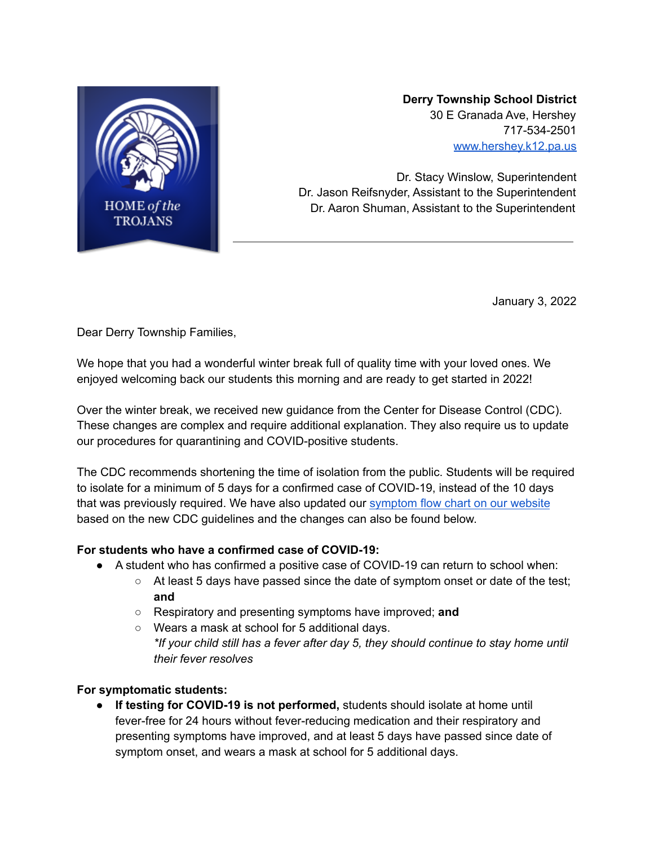

# **Derry Township School District** 30 E Granada Ave, Hershey 717-534-2501 [www.hershey.k12.pa.us](http://www.hershey.k12.pa.us)

Dr. Stacy Winslow, Superintendent Dr. Jason Reifsnyder, Assistant to the Superintendent Dr. Aaron Shuman, Assistant to the Superintendent

January 3, 2022

Dear Derry Township Families,

We hope that you had a wonderful winter break full of quality time with your loved ones. We enjoyed welcoming back our students this morning and are ready to get started in 2022!

Over the winter break, we received new guidance from the Center for Disease Control (CDC). These changes are complex and require additional explanation. They also require us to update our procedures for quarantining and COVID-positive students.

The CDC recommends shortening the time of isolation from the public. Students will be required to isolate for a minimum of 5 days for a confirmed case of COVID-19, instead of the 10 days that was previously required. We have also updated our [symptom](https://www.hershey.k12.pa.us/cms/lib/PA09000080/Centricity/Domain/935/COVID-19%20FEVER-SYMPTOMS%20FLOW%20SHEET%20STUDENTS%20rev%2012-28-21.pdf) flow chart on our website based on the new CDC guidelines and the changes can also be found below.

#### **For students who have a confirmed case of COVID-19:**

- A student who has confirmed a positive case of COVID-19 can return to school when:
	- At least 5 days have passed since the date of symptom onset or date of the test; **and**
	- Respiratory and presenting symptoms have improved; **and**
	- Wears a mask at school for 5 additional days. *\*If your child still has a fever after day 5, they should continue to stay home until their fever resolves*

# **For symptomatic students:**

● **If testing for COVID-19 is not performed,** students should isolate at home until fever-free for 24 hours without fever-reducing medication and their respiratory and presenting symptoms have improved, and at least 5 days have passed since date of symptom onset, and wears a mask at school for 5 additional days.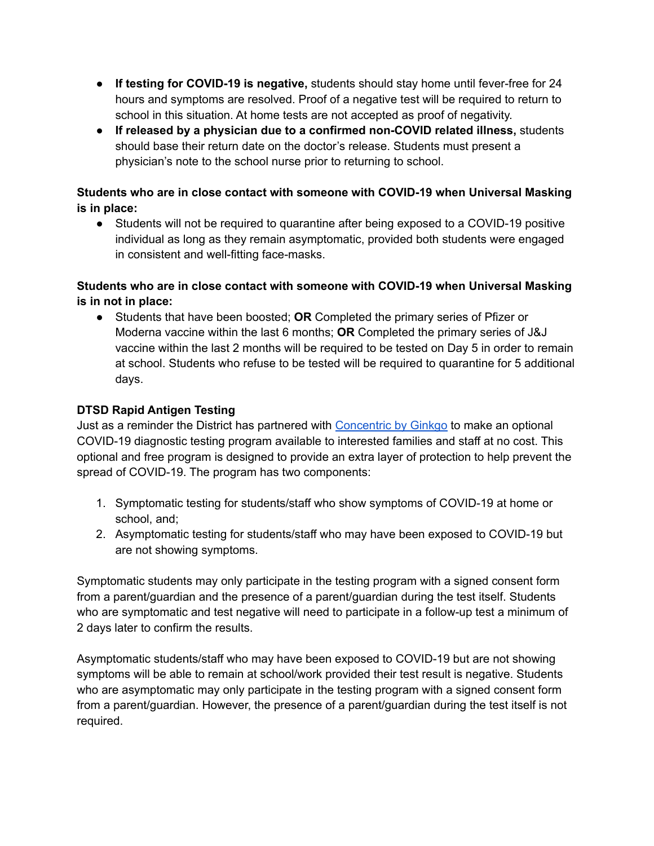- **If testing for COVID-19 is negative,** students should stay home until fever-free for 24 hours and symptoms are resolved. Proof of a negative test will be required to return to school in this situation. At home tests are not accepted as proof of negativity.
- **If released by a physician due to a confirmed non-COVID related illness,** students should base their return date on the doctor's release. Students must present a physician's note to the school nurse prior to returning to school.

### **Students who are in close contact with someone with COVID-19 when Universal Masking is in place:**

● Students will not be required to quarantine after being exposed to a COVID-19 positive individual as long as they remain asymptomatic, provided both students were engaged in consistent and well-fitting face-masks.

# **Students who are in close contact with someone with COVID-19 when Universal Masking is in not in place:**

● Students that have been boosted; **OR** Completed the primary series of Pfizer or Moderna vaccine within the last 6 months; **OR** Completed the primary series of J&J vaccine within the last 2 months will be required to be tested on Day 5 in order to remain at school. Students who refuse to be tested will be required to quarantine for 5 additional days.

# **DTSD Rapid Antigen Testing**

Just as a reminder the District has partnered with [Concentric](https://www.concentricbyginkgo.com/) by Ginkgo to make an optional COVID-19 diagnostic testing program available to interested families and staff at no cost. This optional and free program is designed to provide an extra layer of protection to help prevent the spread of COVID-19. The program has two components:

- 1. Symptomatic testing for students/staff who show symptoms of COVID-19 at home or school, and;
- 2. Asymptomatic testing for students/staff who may have been exposed to COVID-19 but are not showing symptoms.

Symptomatic students may only participate in the testing program with a signed consent form from a parent/guardian and the presence of a parent/guardian during the test itself. Students who are symptomatic and test negative will need to participate in a follow-up test a minimum of 2 days later to confirm the results.

Asymptomatic students/staff who may have been exposed to COVID-19 but are not showing symptoms will be able to remain at school/work provided their test result is negative. Students who are asymptomatic may only participate in the testing program with a signed consent form from a parent/guardian. However, the presence of a parent/guardian during the test itself is not required.